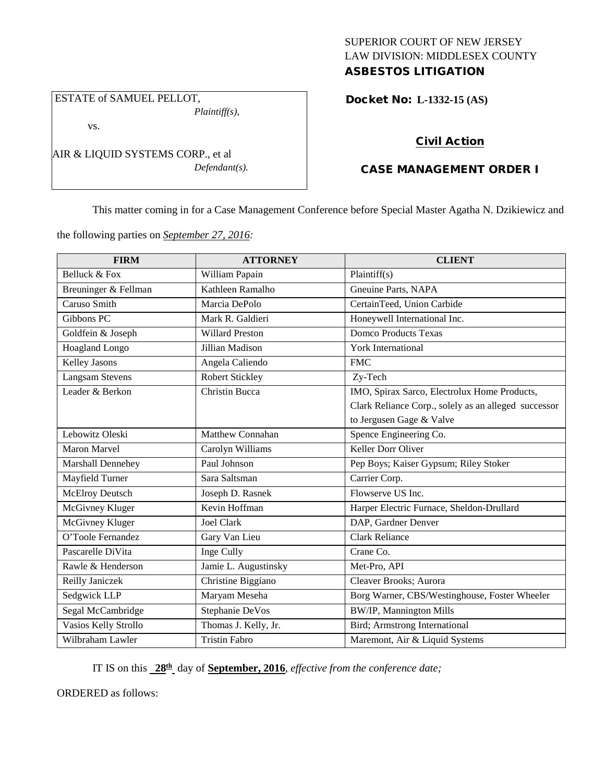## SUPERIOR COURT OF NEW JERSEY LAW DIVISION: MIDDLESEX COUNTY ASBESTOS LITIGATION

# ESTATE of SAMUEL PELLOT,

*Plaintiff(s),*

vs.

AIR & LIQUID SYSTEMS CORP., et al *Defendant(s).*

# Docket No: **L-1332-15 (AS)**

# Civil Action

# CASE MANAGEMENT ORDER I

This matter coming in for a Case Management Conference before Special Master Agatha N. Dzikiewicz and

the following parties on *September 27, 2016:*

| <b>FIRM</b>            | <b>ATTORNEY</b>         | <b>CLIENT</b>                                        |
|------------------------|-------------------------|------------------------------------------------------|
| Belluck & Fox          | William Papain          | Plaintiff(s)                                         |
| Breuninger & Fellman   | Kathleen Ramalho        | Gneuine Parts, NAPA                                  |
| Caruso Smith           | Marcia DePolo           | CertainTeed, Union Carbide                           |
| Gibbons PC             | Mark R. Galdieri        | Honeywell International Inc.                         |
| Goldfein & Joseph      | <b>Willard Preston</b>  | <b>Domco Products Texas</b>                          |
| <b>Hoagland Longo</b>  | Jillian Madison         | <b>York International</b>                            |
| Kelley Jasons          | Angela Caliendo         | <b>FMC</b>                                           |
| Langsam Stevens        | Robert Stickley         | Zy-Tech                                              |
| Leader & Berkon        | Christin Bucca          | IMO, Spirax Sarco, Electrolux Home Products,         |
|                        |                         | Clark Reliance Corp., solely as an alleged successor |
|                        |                         | to Jergusen Gage & Valve                             |
| Lebowitz Oleski        | <b>Matthew Connahan</b> | Spence Engineering Co.                               |
| <b>Maron Marvel</b>    | Carolyn Williams        | Keller Dorr Oliver                                   |
| Marshall Dennehey      | Paul Johnson            | Pep Boys; Kaiser Gypsum; Riley Stoker                |
| Mayfield Turner        | Sara Saltsman           | Carrier Corp.                                        |
| <b>McElroy Deutsch</b> | Joseph D. Rasnek        | Flowserve US Inc.                                    |
| McGivney Kluger        | Kevin Hoffman           | Harper Electric Furnace, Sheldon-Drullard            |
| McGivney Kluger        | <b>Joel Clark</b>       | DAP, Gardner Denver                                  |
| O'Toole Fernandez      | Gary Van Lieu           | <b>Clark Reliance</b>                                |
| Pascarelle DiVita      | Inge Cully              | Crane Co.                                            |
| Rawle & Henderson      | Jamie L. Augustinsky    | Met-Pro, API                                         |
| Reilly Janiczek        | Christine Biggiano      | Cleaver Brooks; Aurora                               |
| Sedgwick LLP           | Maryam Meseha           | Borg Warner, CBS/Westinghouse, Foster Wheeler        |
| Segal McCambridge      | Stephanie DeVos         | BW/IP, Mannington Mills                              |
| Vasios Kelly Strollo   | Thomas J. Kelly, Jr.    | Bird; Armstrong International                        |
| Wilbraham Lawler       | <b>Tristin Fabro</b>    | Maremont, Air & Liquid Systems                       |

IT IS on this **28th** day of **September, 2016**, *effective from the conference date;*

ORDERED as follows: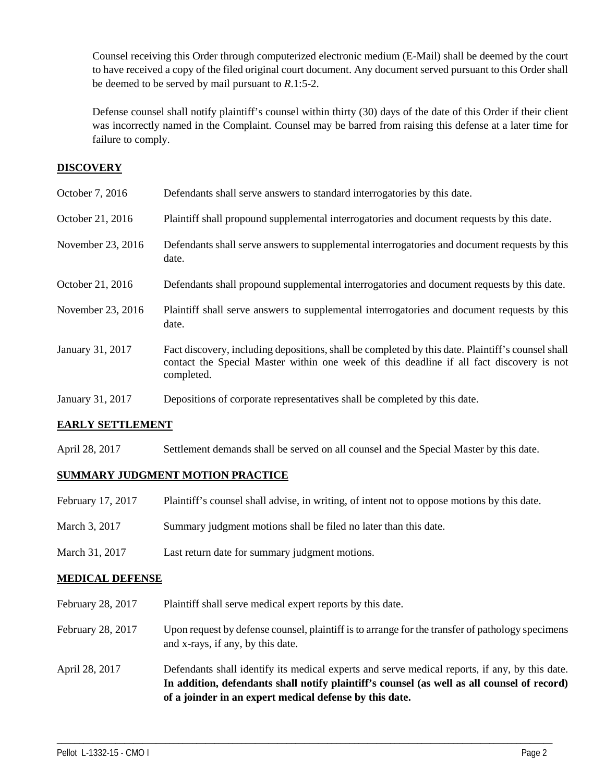Counsel receiving this Order through computerized electronic medium (E-Mail) shall be deemed by the court to have received a copy of the filed original court document. Any document served pursuant to this Order shall be deemed to be served by mail pursuant to *R*.1:5-2.

Defense counsel shall notify plaintiff's counsel within thirty (30) days of the date of this Order if their client was incorrectly named in the Complaint. Counsel may be barred from raising this defense at a later time for failure to comply.

## **DISCOVERY**

| October 7, 2016   | Defendants shall serve answers to standard interrogatories by this date.                                                                                                                                    |
|-------------------|-------------------------------------------------------------------------------------------------------------------------------------------------------------------------------------------------------------|
| October 21, 2016  | Plaintiff shall propound supplemental interrogatories and document requests by this date.                                                                                                                   |
| November 23, 2016 | Defendants shall serve answers to supplemental interrogatories and document requests by this<br>date.                                                                                                       |
| October 21, 2016  | Defendants shall propound supplemental interrogatories and document requests by this date.                                                                                                                  |
| November 23, 2016 | Plaintiff shall serve answers to supplemental interrogatories and document requests by this<br>date.                                                                                                        |
| January 31, 2017  | Fact discovery, including depositions, shall be completed by this date. Plaintiff's counsel shall<br>contact the Special Master within one week of this deadline if all fact discovery is not<br>completed. |
| January 31, 2017  | Depositions of corporate representatives shall be completed by this date.                                                                                                                                   |

## **EARLY SETTLEMENT**

April 28, 2017 Settlement demands shall be served on all counsel and the Special Master by this date.

## **SUMMARY JUDGMENT MOTION PRACTICE**

- February 17, 2017 Plaintiff's counsel shall advise, in writing, of intent not to oppose motions by this date.
- March 3, 2017 Summary judgment motions shall be filed no later than this date.
- March 31, 2017 Last return date for summary judgment motions.

## **MEDICAL DEFENSE**

- February 28, 2017 Plaintiff shall serve medical expert reports by this date.
- February 28, 2017 Upon request by defense counsel, plaintiff is to arrange for the transfer of pathology specimens and x-rays, if any, by this date.
- April 28, 2017 Defendants shall identify its medical experts and serve medical reports, if any, by this date. **In addition, defendants shall notify plaintiff's counsel (as well as all counsel of record) of a joinder in an expert medical defense by this date.**

\_\_\_\_\_\_\_\_\_\_\_\_\_\_\_\_\_\_\_\_\_\_\_\_\_\_\_\_\_\_\_\_\_\_\_\_\_\_\_\_\_\_\_\_\_\_\_\_\_\_\_\_\_\_\_\_\_\_\_\_\_\_\_\_\_\_\_\_\_\_\_\_\_\_\_\_\_\_\_\_\_\_\_\_\_\_\_\_\_\_\_\_\_\_\_\_\_\_\_\_\_\_\_\_\_\_\_\_\_\_